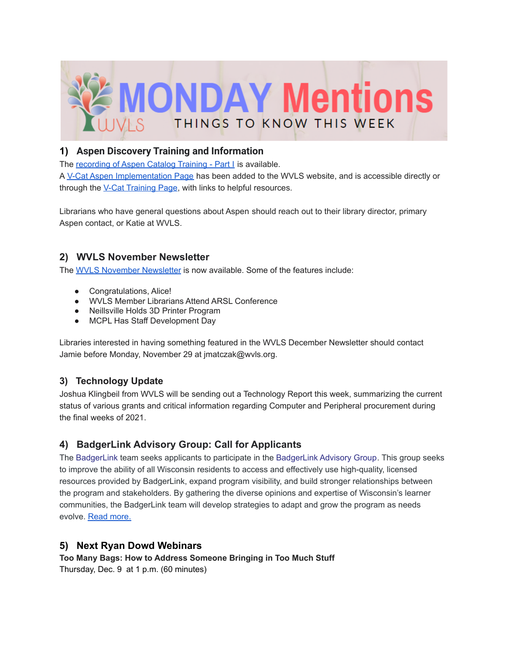

### **1) Aspen Discovery Training and Information**

The [recording](https://drive.google.com/file/d/1iuM0m-2dJ20DFw9spl5PA2Ksf8Qtbl53/view) of Aspen Catalog Training - Part I is available.

A V-Cat Aspen [Implementation](https://www.wvls.org/v-cat-aspen-implementation/) Page has been added to the WVLS website, and is accessible directly or through the V-Cat [Training](https://www.wvls.org/v-cat-training/) Page, with links to helpful resources.

Librarians who have general questions about Aspen should reach out to their library director, primary Aspen contact, or Katie at WVLS.

# **2) WVLS November Newsletter**

The WVLS November [Newsletter](https://mailchi.mp/c430f4eddc15/wvls-november21-newsletter) is now available. Some of the features include:

- Congratulations, Alice!
- WVLS Member Librarians Attend ARSL Conference
- Neillsville Holds 3D Printer Program
- MCPL Has Staff Development Day

Libraries interested in having something featured in the WVLS December Newsletter should contact Jamie before Monday, November 29 at jmatczak@wvls.org.

# **3) Technology Update**

Joshua Klingbeil from WVLS will be sending out a Technology Report this week, summarizing the current status of various grants and critical information regarding Computer and Peripheral procurement during the final weeks of 2021.

# **4) BadgerLink Advisory Group: Call for Applicants**

The [BadgerLink](http://badgerlink.dpi.wi.gov/) team seeks applicants to participate in the [BadgerLink](https://badgerlink.dpi.wi.gov/badgerlink-advisory-group) Advisory Group. This group seeks to improve the ability of all Wisconsin residents to access and effectively use high-quality, licensed resources provided by BadgerLink, expand program visibility, and build stronger relationships between the program and stakeholders. By gathering the diverse opinions and expertise of Wisconsin's learner communities, the BadgerLink team will develop strategies to adapt and grow the program as needs evolve. Read [more.](https://badgerlink.dpi.wi.gov/bulletin/2021/11/badgerlink-advisory-group-call-applicants#msdynttrid=gjMTeQgoGzkh0032lozNaE3CuSKuCruSYI6DQLus2IQ)

# **5) Next Ryan Dowd Webinars**

**Too Many Bags: How to Address Someone Bringing in Too Much Stuff** Thursday, Dec. 9 at 1 p.m. (60 minutes)